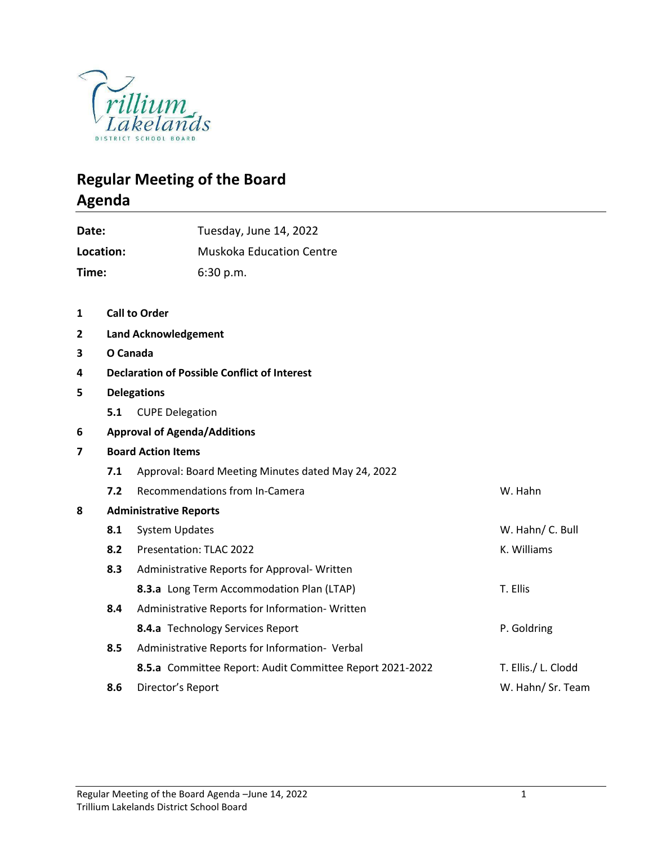

## **Regular Meeting of the Board Agenda**

| Date:                   |                               |                                                     | Tuesday, June 14, 2022                                   |  |  |                     |  |  |
|-------------------------|-------------------------------|-----------------------------------------------------|----------------------------------------------------------|--|--|---------------------|--|--|
| Location:               |                               |                                                     | <b>Muskoka Education Centre</b>                          |  |  |                     |  |  |
| Time:                   |                               |                                                     | 6:30 p.m.                                                |  |  |                     |  |  |
|                         |                               |                                                     |                                                          |  |  |                     |  |  |
| 1                       |                               | <b>Call to Order</b>                                |                                                          |  |  |                     |  |  |
| $\mathbf{2}$            | <b>Land Acknowledgement</b>   |                                                     |                                                          |  |  |                     |  |  |
| 3                       | O Canada                      |                                                     |                                                          |  |  |                     |  |  |
| 4                       |                               | <b>Declaration of Possible Conflict of Interest</b> |                                                          |  |  |                     |  |  |
| 5                       | <b>Delegations</b>            |                                                     |                                                          |  |  |                     |  |  |
|                         | <b>CUPE Delegation</b><br>5.1 |                                                     |                                                          |  |  |                     |  |  |
| 6                       |                               | <b>Approval of Agenda/Additions</b>                 |                                                          |  |  |                     |  |  |
| $\overline{\mathbf{z}}$ |                               | <b>Board Action Items</b>                           |                                                          |  |  |                     |  |  |
|                         | 7.1                           | Approval: Board Meeting Minutes dated May 24, 2022  |                                                          |  |  |                     |  |  |
|                         | 7.2                           |                                                     | <b>Recommendations from In-Camera</b>                    |  |  | W. Hahn             |  |  |
| 8                       |                               | <b>Administrative Reports</b>                       |                                                          |  |  |                     |  |  |
|                         | 8.1                           | <b>System Updates</b>                               |                                                          |  |  | W. Hahn/ C. Bull    |  |  |
|                         | 8.2                           | Presentation: TLAC 2022                             |                                                          |  |  | K. Williams         |  |  |
|                         | 8.3                           |                                                     | Administrative Reports for Approval-Written              |  |  |                     |  |  |
|                         |                               |                                                     | 8.3.a Long Term Accommodation Plan (LTAP)                |  |  | T. Ellis            |  |  |
|                         | 8.4                           |                                                     | Administrative Reports for Information-Written           |  |  |                     |  |  |
|                         |                               |                                                     | 8.4.a Technology Services Report                         |  |  | P. Goldring         |  |  |
|                         | 8.5                           |                                                     | Administrative Reports for Information- Verbal           |  |  |                     |  |  |
|                         |                               |                                                     | 8.5.a Committee Report: Audit Committee Report 2021-2022 |  |  | T. Ellis./ L. Clodd |  |  |
|                         | 8.6                           | Director's Report                                   |                                                          |  |  | W. Hahn/ Sr. Team   |  |  |